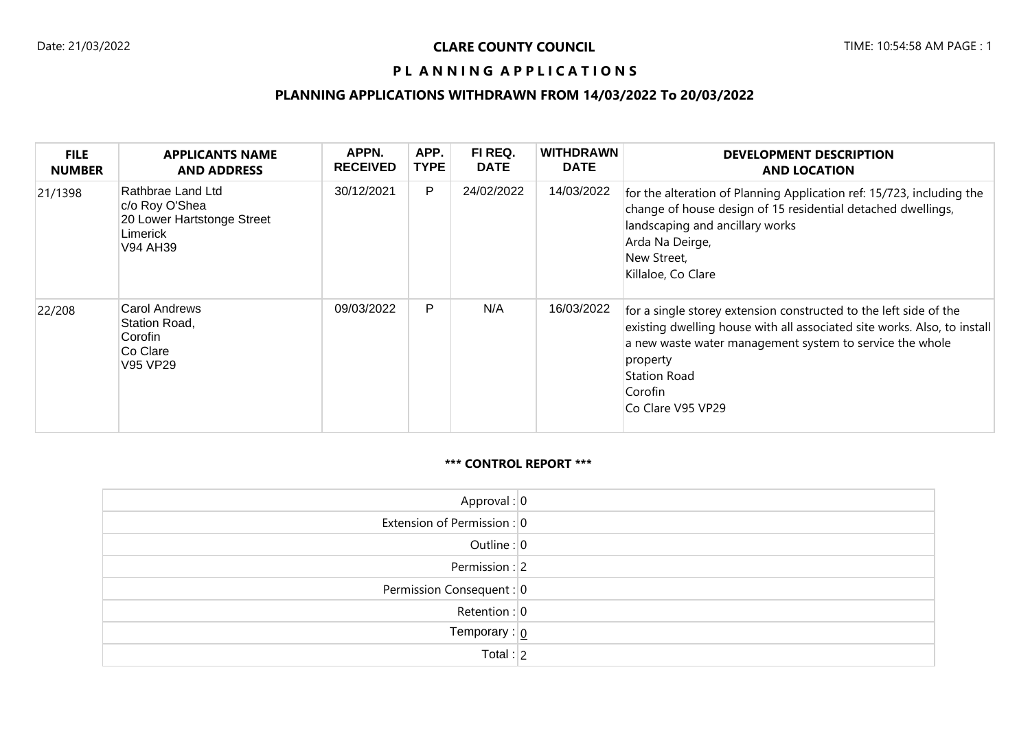## PL ANNING APPLICATIONS

## **PLANNING APPLICATIONS WITHDRAWN FROM 14/03/2022 To 20/03/2022**

| <b>FILE</b><br><b>NUMBER</b> | <b>APPLICANTS NAME</b><br><b>AND ADDRESS</b>                                              | APPN.<br><b>RECEIVED</b> | APP.<br><b>TYPE</b> | FI REQ.<br><b>DATE</b> | <b>WITHDRAWN</b><br><b>DATE</b> | <b>DEVELOPMENT DESCRIPTION</b><br><b>AND LOCATION</b>                                                                                                                                                                                                                 |
|------------------------------|-------------------------------------------------------------------------------------------|--------------------------|---------------------|------------------------|---------------------------------|-----------------------------------------------------------------------------------------------------------------------------------------------------------------------------------------------------------------------------------------------------------------------|
| 21/1398                      | Rathbrae Land Ltd<br>c/o Roy O'Shea<br>20 Lower Hartstonge Street<br>Limerick<br>V94 AH39 | 30/12/2021               | P                   | 24/02/2022             | 14/03/2022                      | for the alteration of Planning Application ref: 15/723, including the<br>change of house design of 15 residential detached dwellings,<br>landscaping and ancillary works<br>Arda Na Deirge,<br>New Street,<br>Killaloe, Co Clare                                      |
| 22/208                       | Carol Andrews<br>Station Road,<br>Corofin<br>Co Clare<br>V95 VP29                         | 09/03/2022               | P                   | N/A                    | 16/03/2022                      | for a single storey extension constructed to the left side of the<br>existing dwelling house with all associated site works. Also, to install<br>a new waste water management system to service the whole<br>property<br>Station Road<br>Corofin<br>Co Clare V95 VP29 |

#### **\*\*\* CONTROL REPORT \*\*\***

| Approval: $ 0 $                |  |
|--------------------------------|--|
| Extension of Permission : 0    |  |
| Outline: $0$                   |  |
| Permission : $ 2 $             |  |
| Permission Consequent: 0       |  |
| Retention : $ 0 $              |  |
| Temporary : $\boxed{0}$        |  |
| $\overline{\mathsf{Total}:}$ 2 |  |